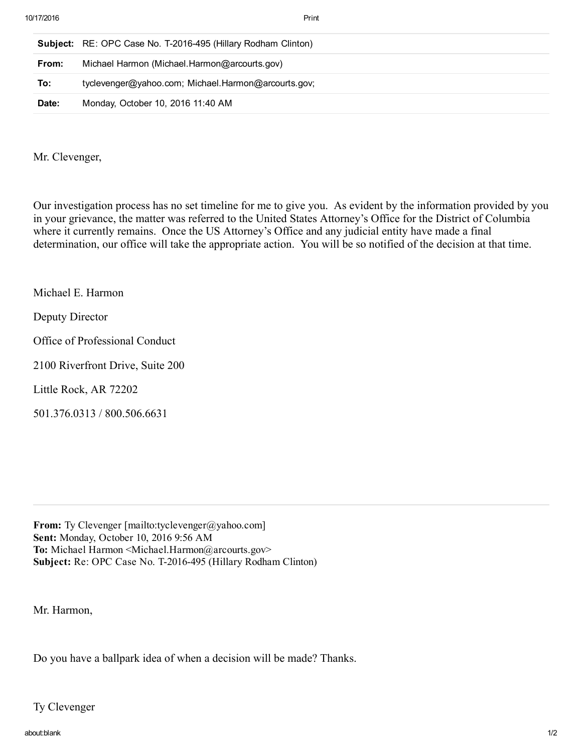|       | <b>Subject:</b> RE: OPC Case No. T-2016-495 (Hillary Rodham Clinton) |
|-------|----------------------------------------------------------------------|
| From: | Michael Harmon (Michael.Harmon@arcourts.gov)                         |
| To:   | tyclevenger@yahoo.com; Michael.Harmon@arcourts.gov;                  |
| Date: | Monday, October 10, 2016 11:40 AM                                    |

Mr. Clevenger,

Our investigation process has no set timeline for me to give you. As evident by the information provided by you in your grievance, the matter was referred to the United States Attorney's Office for the District of Columbia where it currently remains. Once the US Attorney's Office and any judicial entity have made a final determination, our office will take the appropriate action. You will be so notified of the decision at that time.

Michael E. Harmon

Deputy Director

Office of Professional Conduct

2100 Riverfront Drive, Suite 200

Little Rock, AR 72202

501.376.0313 / 800.506.6631

From: Ty Clevenger [mailto:tyclevenger@yahoo.com] Sent: Monday, October 10, 2016 9:56 AM To: Michael Harmon <Michael.Harmon@arcourts.gov> Subject: Re: OPC Case No. T-2016-495 (Hillary Rodham Clinton)

Mr. Harmon,

Do you have a ballpark idea of when a decision will be made? Thanks.

Ty Clevenger